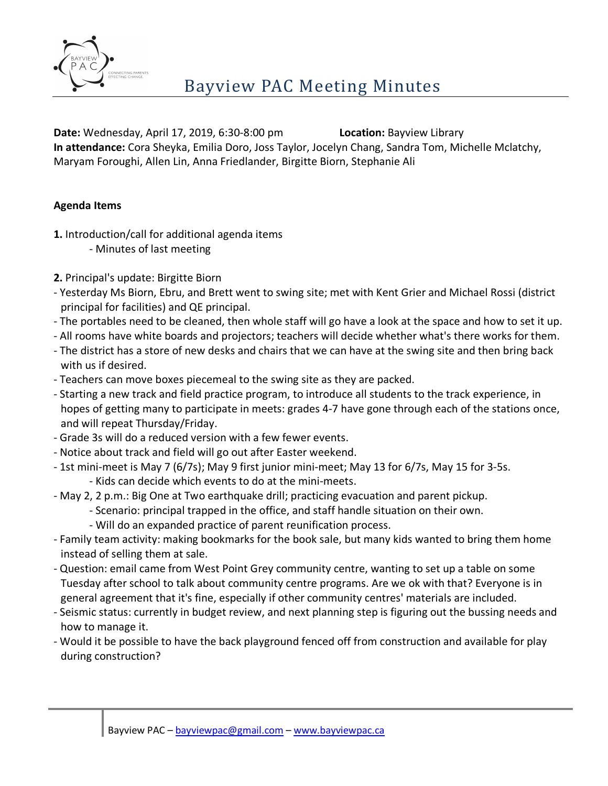

**Date:** Wednesday, April 17, 2019, 6:30-8:00 pm **Location:** Bayview Library **In attendance:** Cora Sheyka, Emilia Doro, Joss Taylor, Jocelyn Chang, Sandra Tom, Michelle Mclatchy, Maryam Foroughi, Allen Lin, Anna Friedlander, Birgitte Biorn, Stephanie Ali

## **Agenda Items**

- **1.** Introduction/call for additional agenda items
	- Minutes of last meeting
- **2.** Principal's update: Birgitte Biorn
- Yesterday Ms Biorn, Ebru, and Brett went to swing site; met with Kent Grier and Michael Rossi (district principal for facilities) and QE principal.
- The portables need to be cleaned, then whole staff will go have a look at the space and how to set it up.
- All rooms have white boards and projectors; teachers will decide whether what's there works for them.
- The district has a store of new desks and chairs that we can have at the swing site and then bring back with us if desired.
- Teachers can move boxes piecemeal to the swing site as they are packed.
- Starting a new track and field practice program, to introduce all students to the track experience, in hopes of getting many to participate in meets: grades 4-7 have gone through each of the stations once, and will repeat Thursday/Friday.
- Grade 3s will do a reduced version with a few fewer events.
- Notice about track and field will go out after Easter weekend.
- 1st mini-meet is May 7 (6/7s); May 9 first junior mini-meet; May 13 for 6/7s, May 15 for 3-5s.
	- Kids can decide which events to do at the mini-meets.
- May 2, 2 p.m.: Big One at Two earthquake drill; practicing evacuation and parent pickup.
	- Scenario: principal trapped in the office, and staff handle situation on their own.
		- Will do an expanded practice of parent reunification process.
- Family team activity: making bookmarks for the book sale, but many kids wanted to bring them home instead of selling them at sale.
- Question: email came from West Point Grey community centre, wanting to set up a table on some Tuesday after school to talk about community centre programs. Are we ok with that? Everyone is in general agreement that it's fine, especially if other community centres' materials are included.
- Seismic status: currently in budget review, and next planning step is figuring out the bussing needs and how to manage it.
- Would it be possible to have the back playground fenced off from construction and available for play during construction?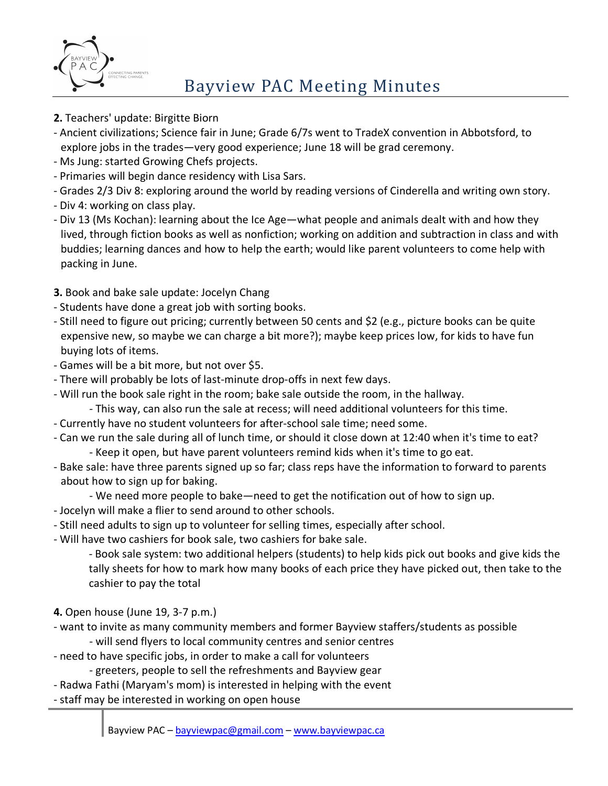

- **2.** Teachers' update: Birgitte Biorn
- Ancient civilizations; Science fair in June; Grade 6/7s went to TradeX convention in Abbotsford, to explore jobs in the trades—very good experience; June 18 will be grad ceremony.
- Ms Jung: started Growing Chefs projects.
- Primaries will begin dance residency with Lisa Sars.
- Grades 2/3 Div 8: exploring around the world by reading versions of Cinderella and writing own story.
- Div 4: working on class play.
- Div 13 (Ms Kochan): learning about the Ice Age—what people and animals dealt with and how they lived, through fiction books as well as nonfiction; working on addition and subtraction in class and with buddies; learning dances and how to help the earth; would like parent volunteers to come help with packing in June.
- **3.** Book and bake sale update: Jocelyn Chang
- Students have done a great job with sorting books.
- Still need to figure out pricing; currently between 50 cents and \$2 (e.g., picture books can be quite expensive new, so maybe we can charge a bit more?); maybe keep prices low, for kids to have fun buying lots of items.
- Games will be a bit more, but not over \$5.
- There will probably be lots of last-minute drop-offs in next few days.
- Will run the book sale right in the room; bake sale outside the room, in the hallway.
	- This way, can also run the sale at recess; will need additional volunteers for this time.
- Currently have no student volunteers for after-school sale time; need some.
- Can we run the sale during all of lunch time, or should it close down at 12:40 when it's time to eat?
	- Keep it open, but have parent volunteers remind kids when it's time to go eat.
- Bake sale: have three parents signed up so far; class reps have the information to forward to parents about how to sign up for baking.
	- We need more people to bake—need to get the notification out of how to sign up.
- Jocelyn will make a flier to send around to other schools.
- Still need adults to sign up to volunteer for selling times, especially after school.
- Will have two cashiers for book sale, two cashiers for bake sale.

- Book sale system: two additional helpers (students) to help kids pick out books and give kids the tally sheets for how to mark how many books of each price they have picked out, then take to the cashier to pay the total

- **4.** Open house (June 19, 3-7 p.m.)
- want to invite as many community members and former Bayview staffers/students as possible
	- will send flyers to local community centres and senior centres
- need to have specific jobs, in order to make a call for volunteers
	- greeters, people to sell the refreshments and Bayview gear
- Radwa Fathi (Maryam's mom) is interested in helping with the event
- staff may be interested in working on open house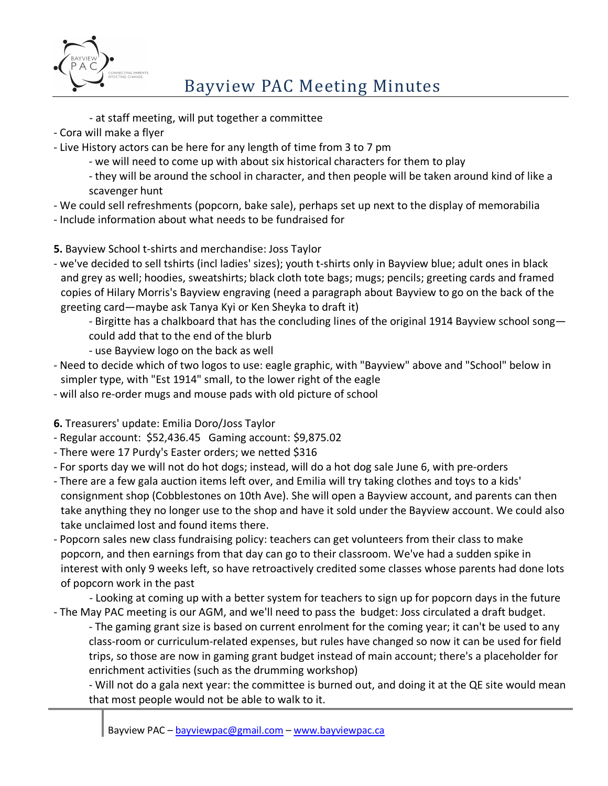

- at staff meeting, will put together a committee
- Cora will make a flyer
- Live History actors can be here for any length of time from 3 to 7 pm
	- we will need to come up with about six historical characters for them to play
	- they will be around the school in character, and then people will be taken around kind of like a scavenger hunt
- We could sell refreshments (popcorn, bake sale), perhaps set up next to the display of memorabilia
- Include information about what needs to be fundraised for
- **5.** Bayview School t-shirts and merchandise: Joss Taylor
- we've decided to sell tshirts (incl ladies' sizes); youth t-shirts only in Bayview blue; adult ones in black and grey as well; hoodies, sweatshirts; black cloth tote bags; mugs; pencils; greeting cards and framed copies of Hilary Morris's Bayview engraving (need a paragraph about Bayview to go on the back of the greeting card—maybe ask Tanya Kyi or Ken Sheyka to draft it)
	- Birgitte has a chalkboard that has the concluding lines of the original 1914 Bayview school song could add that to the end of the blurb
	- use Bayview logo on the back as well
- Need to decide which of two logos to use: eagle graphic, with "Bayview" above and "School" below in simpler type, with "Est 1914" small, to the lower right of the eagle
- will also re-order mugs and mouse pads with old picture of school
- **6.** Treasurers' update: Emilia Doro/Joss Taylor
- Regular account: \$52,436.45 Gaming account: \$9,875.02
- There were 17 Purdy's Easter orders; we netted \$316
- For sports day we will not do hot dogs; instead, will do a hot dog sale June 6, with pre-orders
- There are a few gala auction items left over, and Emilia will try taking clothes and toys to a kids' consignment shop (Cobblestones on 10th Ave). She will open a Bayview account, and parents can then take anything they no longer use to the shop and have it sold under the Bayview account. We could also take unclaimed lost and found items there.
- Popcorn sales new class fundraising policy: teachers can get volunteers from their class to make popcorn, and then earnings from that day can go to their classroom. We've had a sudden spike in interest with only 9 weeks left, so have retroactively credited some classes whose parents had done lots of popcorn work in the past
- Looking at coming up with a better system for teachers to sign up for popcorn days in the future - The May PAC meeting is our AGM, and we'll need to pass the budget: Joss circulated a draft budget.
	- The gaming grant size is based on current enrolment for the coming year; it can't be used to any class-room or curriculum-related expenses, but rules have changed so now it can be used for field trips, so those are now in gaming grant budget instead of main account; there's a placeholder for enrichment activities (such as the drumming workshop)
	- Will not do a gala next year: the committee is burned out, and doing it at the QE site would mean that most people would not be able to walk to it.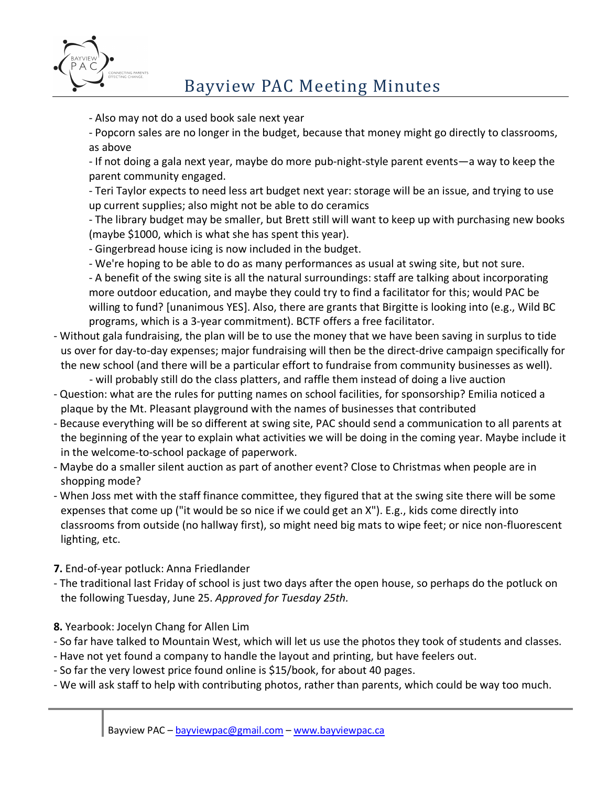

## Bayview PAC Meeting Minutes

- Also may not do a used book sale next year

- Popcorn sales are no longer in the budget, because that money might go directly to classrooms, as above

- If not doing a gala next year, maybe do more pub-night-style parent events—a way to keep the parent community engaged.

- Teri Taylor expects to need less art budget next year: storage will be an issue, and trying to use up current supplies; also might not be able to do ceramics

- The library budget may be smaller, but Brett still will want to keep up with purchasing new books (maybe \$1000, which is what she has spent this year).

- Gingerbread house icing is now included in the budget.

- We're hoping to be able to do as many performances as usual at swing site, but not sure. - A benefit of the swing site is all the natural surroundings: staff are talking about incorporating more outdoor education, and maybe they could try to find a facilitator for this; would PAC be

willing to fund? [unanimous YES]. Also, there are grants that Birgitte is looking into (e.g., Wild BC programs, which is a 3-year commitment). BCTF offers a free facilitator.

- Without gala fundraising, the plan will be to use the money that we have been saving in surplus to tide us over for day-to-day expenses; major fundraising will then be the direct-drive campaign specifically for the new school (and there will be a particular effort to fundraise from community businesses as well).

- will probably still do the class platters, and raffle them instead of doing a live auction

- Question: what are the rules for putting names on school facilities, for sponsorship? Emilia noticed a plaque by the Mt. Pleasant playground with the names of businesses that contributed
- Because everything will be so different at swing site, PAC should send a communication to all parents at the beginning of the year to explain what activities we will be doing in the coming year. Maybe include it in the welcome-to-school package of paperwork.
- Maybe do a smaller silent auction as part of another event? Close to Christmas when people are in shopping mode?
- When Joss met with the staff finance committee, they figured that at the swing site there will be some expenses that come up ("it would be so nice if we could get an X"). E.g., kids come directly into classrooms from outside (no hallway first), so might need big mats to wipe feet; or nice non-fluorescent lighting, etc.
- **7.** End-of-year potluck: Anna Friedlander
- The traditional last Friday of school is just two days after the open house, so perhaps do the potluck on the following Tuesday, June 25. *Approved for Tuesday 25th.*
- **8.** Yearbook: Jocelyn Chang for Allen Lim
- So far have talked to Mountain West, which will let us use the photos they took of students and classes.
- Have not yet found a company to handle the layout and printing, but have feelers out.
- So far the very lowest price found online is \$15/book, for about 40 pages.
- We will ask staff to help with contributing photos, rather than parents, which could be way too much.